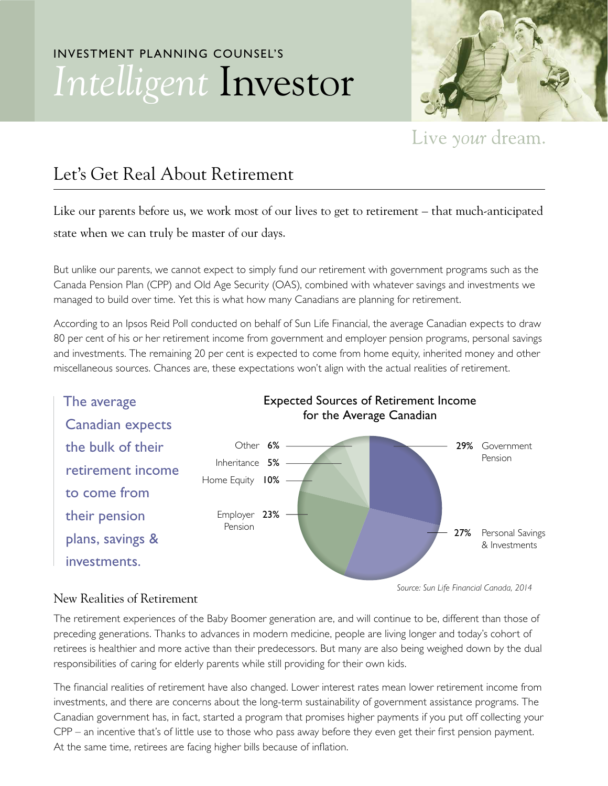## INVESTMENT PLANNING COUNSEL'S *Intelligent* Investor



Live your dream.

## Let's Get Real About Retirement

Like our parents before us, we work most of our lives to get to retirement – that much-anticipated state when we can truly be master of our days.

But unlike our parents, we cannot expect to simply fund our retirement with government programs such as the Canada Pension Plan (CPP) and Old Age Security (OAS), combined with whatever savings and investments we managed to build over time. Yet this is what how many Canadians are planning for retirement.

According to an Ipsos Reid Poll conducted on behalf of Sun Life Financial, the average Canadian expects to draw 80 per cent of his or her retirement income from government and employer pension programs, personal savings and investments. The remaining 20 per cent is expected to come from home equity, inherited money and other miscellaneous sources. Chances are, these expectations won't align with the actual realities of retirement.



## New Realities of Retirement

The retirement experiences of the Baby Boomer generation are, and will continue to be, different than those of preceding generations. Thanks to advances in modern medicine, people are living longer and today's cohort of retirees is healthier and more active than their predecessors. But many are also being weighed down by the dual responsibilities of caring for elderly parents while still providing for their own kids.

The financial realities of retirement have also changed. Lower interest rates mean lower retirement income from investments, and there are concerns about the long-term sustainability of government assistance programs. The Canadian government has, in fact, started a program that promises higher payments if you put off collecting your CPP – an incentive that's of little use to those who pass away before they even get their first pension payment. At the same time, retirees are facing higher bills because of inflation.